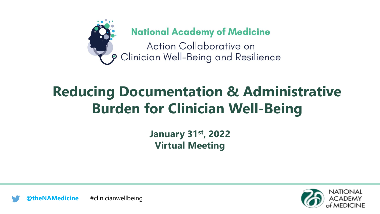

**National Academy of Medicine** 

Action Collaborative on 9 Clinician Well-Being and Resilience

### **Reducing Documentation & Administrative Burden for Clinician Well-Being**

**January 31st , 2022 Virtual Meeting**



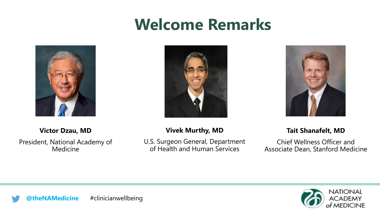## **Welcome Remarks**







#### **Victor Dzau, MD**

President, National Academy of Medicine

#### **Vivek Murthy, MD**

U.S. Surgeon General, Department of Health and Human Services

#### **Tait Shanafelt, MD**

Chief Wellness Officer and Associate Dean, Stanford Medicine



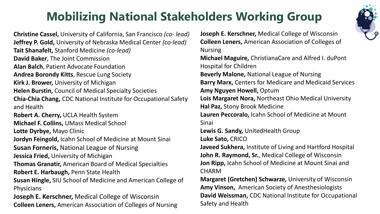### **Mobilizing National Stakeholders Working Group**



**Christine Cassel,** University of California, San Francisco *(co- lead)* **Jeffrey P. Gold,** University of Nebraska Medical Center *(co-lead)* **Tait Shanafelt,** Stanford Medicine *(co-lead)* **David Baker**, The Joint Commission **Alan Balch**, Patient Advocate Foundation **Andrea Borondy Kitts**, Rescue Lung Society **Kirk J. Brower,** University of Michigan **Helen Burstin,** Council of Medical Specialty Societies **Chia-Chia Chang,** CDC National Institute for Occupational Safety and Health **Robert A. Cherry,** UCLA Health System **Michael F. Collins,** UMass Medical School **Lotte Dyrbye,** Mayo Clinic **Jordyn Feingold,** Icahn School of Medicine at Mount Sinai **Susan Forneris,** National League of Nursing **Jessica Fried,** University of Michigan **Thomas Granatir,** American Board of Medical Specialties **Robert E. Harbaugh,** Penn State Health **Susan Hingle,** SIU School of Medicine and American College of **Physicians Joseph E. Kerschner,** Medical College of Wisconsin **Colleen Leners,** American Association of Colleges of Nursing

**Joseph E. Kerschner,** Medical College of Wisconsin **Colleen Leners,** American Association of Colleges of Nursing **Michael Maguire,** ChristianaCare and Alfred I. duPont Hospital for Children **Beverly Malone,** National League of Nursing **Barry Marx,** Centers for Medicare and Medicaid Services **Amy Nguyen Howell,** Optum **Lois Margaret Nora,** Northeast Ohio Medical University **Hal Paz,** Stony Brook Medicine **Lauren Peccoralo,** Icahn School of Medicine at Mount Sinai **Lewis G. Sandy,** UnitedHealth Group **Luke Sato,** CRICO **Javeed Sukhera,** Institute of Living and Hartford Hospital **John R. Raymond, Sr.**, Medical College of Wisconsin **Jon Ripp,** Icahn School of Medicine at Mount Sinai and CHARM **Margaret (Gretchen) Schwarze,** University of Wisconsin **Amy Vinson,** American Society of Anesthesiologists **David Weissman,** CDC National Institute for Occupational

Safety and Health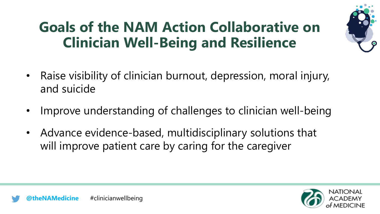## **Goals of the NAM Action Collaborative on Clinician Well-Being and Resilience**



- Raise visibility of clinician burnout, depression, moral injury, and suicide
- Improve understanding of challenges to clinician well-being
- Advance evidence-based, multidisciplinary solutions that will improve patient care by caring for the caregiver



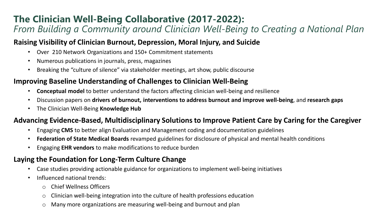#### **The Clinician Well-Being Collaborative (2017-2022):**  *From Building a Community around Clinician Well-Being to Creating a National Plan*

#### **Raising Visibility of Clinician Burnout, Depression, Moral Injury, and Suicide**

- Over 210 Network Organizations and 150+ Commitment statements
- Numerous publications in journals, press, magazines
- Breaking the "culture of silence" via stakeholder meetings, art show, public discourse

#### **Improving Baseline Understanding of Challenges to Clinician Well-Being**

- **Conceptual model** to better understand the factors affecting clinician well-being and resilience
- Discussion papers on **drivers of burnout, interventions to address burnout and improve well-being**, and **research gaps**
- The Clinician Well-Being **Knowledge Hub**

#### **Advancing Evidence-Based, Multidisciplinary Solutions to Improve Patient Care by Caring for the Caregiver**

- Engaging **CMS** to better align Evaluation and Management coding and documentation guidelines
- **Federation of State Medical Boards** revamped guidelines for disclosure of physical and mental health conditions
- Engaging **EHR vendors** to make modifications to reduce burden

#### **Laying the Foundation for Long-Term Culture Change**

- Case studies providing actionable guidance for organizations to implement well-being initiatives
- Influenced national trends:
	- o Chief Wellness Officers
	- o Clinician well-being integration into the culture of health professions education
	- o Many more organizations are measuring well-being and burnout and plan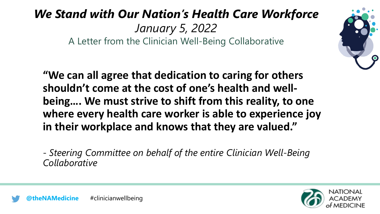### *We Stand with Our Nation's Health Care Workforce January 5, 2022* A Letter from the Clinician Well-Being Collaborative



**"We can all agree that dedication to caring for others shouldn't come at the cost of one's health and wellbeing…. We must strive to shift from this reality, to one where every health care worker is able to experience joy in their workplace and knows that they are valued."**

- *Steering Committee on behalf of the entire Clinician Well-Being Collaborative*

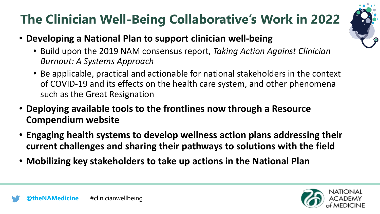### **The Clinician Well-Being Collaborative's Work in 2022**



- **Developing a National Plan to support clinician well-being**
	- Build upon the 2019 NAM consensus report, *Taking Action Against Clinician Burnout: A Systems Approach*
	- Be applicable, practical and actionable for national stakeholders in the context of COVID-19 and its effects on the health care system, and other phenomena such as the Great Resignation
- **Deploying available tools to the frontlines now through a Resource Compendium website**
- **Engaging health systems to develop wellness action plans addressing their current challenges and sharing their pathways to solutions with the field**
- **Mobilizing key stakeholders to take up actions in the National Plan**

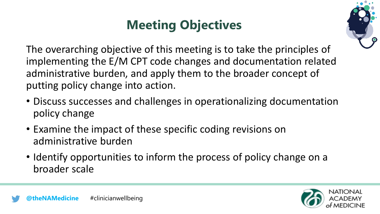### **Meeting Objectives**



The overarching objective of this meeting is to take the principles of implementing the E/M CPT code changes and documentation related administrative burden, and apply them to the broader concept of putting policy change into action.

- Discuss successes and challenges in operationalizing documentation policy change
- Examine the impact of these specific coding revisions on administrative burden
- Identify opportunities to inform the process of policy change on a broader scale